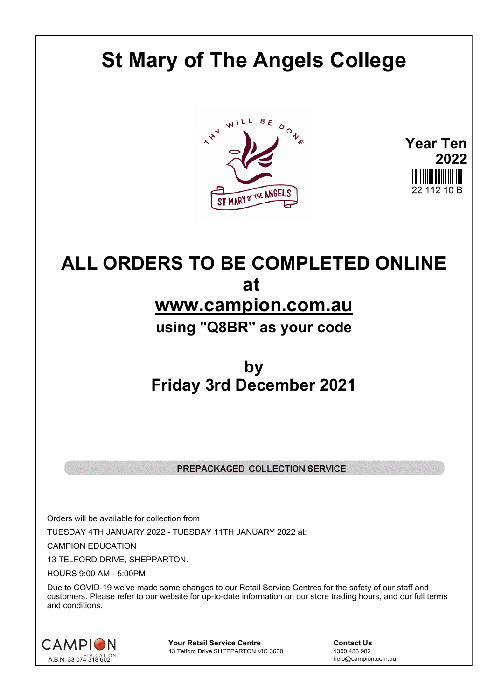# **St Mary of The Angels College**



**Year Ten 2022**

## **ALL ORDERS TO BE COMPLETED ONLINE at www.campion.com.au using "Q8BR" as your code**

### **by Friday 3rd December 2021**

#### PREPACKAGED COLLECTION SERVICE

Orders will be available for collection from TUESDAY 4TH JANUARY 2022 - TUESDAY 11TH JANUARY 2022 at:

CAMPION EDUCATION

13 TELFORD DRIVE, SHEPPARTON.

HOURS 9:00 AM - 5:00PM

Due to COVID-19 we've made some changes to our Retail Service Centres for the safety of our staff and customers. Please refer to our website for up-to-date information on our store trading hours, and our full terms and conditions.



**Your Retail Service Centre Contact Us**<br>
13 Telford Drive SHEPPARTON VIC 3630
<br>
1300 433 982 13 Telford Drive SHEPPARTON VIC 3630

help@campion.com.au